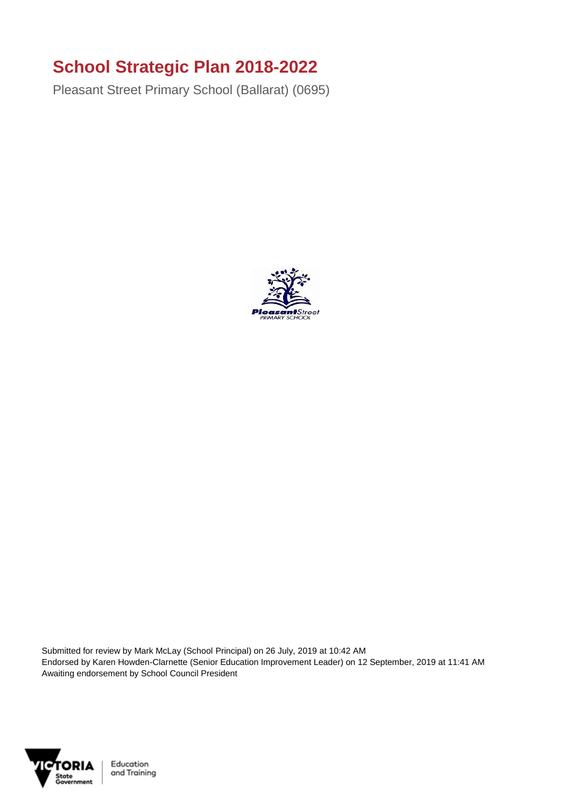## **School Strategic Plan 2018-2022**

Pleasant Street Primary School (Ballarat) (0695)



Submitted for review by Mark McLay (School Principal) on 26 July, 2019 at 10:42 AM Endorsed by Karen Howden-Clarnette (Senior Education Improvement Leader) on 12 September, 2019 at 11:41 AM Awaiting endorsement by School Council President

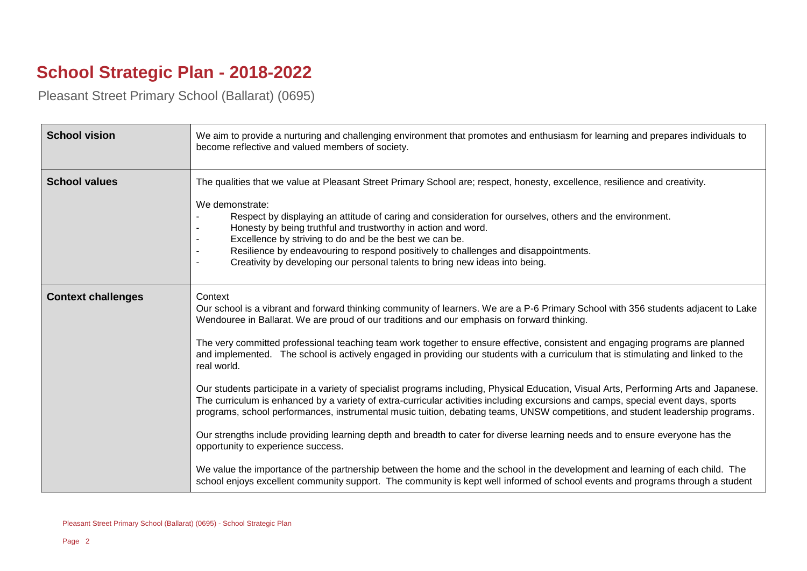## **School Strategic Plan - 2018-2022**

Pleasant Street Primary School (Ballarat) (0695)

| <b>School vision</b>      | We aim to provide a nurturing and challenging environment that promotes and enthusiasm for learning and prepares individuals to<br>become reflective and valued members of society.                                                                                                                                                                                                                                                                                                                                                                                                                                                                                                                                                                                                                                                                                                                                                                                                                                                                                                                                                                                                                                                                                                                                                                                                          |
|---------------------------|----------------------------------------------------------------------------------------------------------------------------------------------------------------------------------------------------------------------------------------------------------------------------------------------------------------------------------------------------------------------------------------------------------------------------------------------------------------------------------------------------------------------------------------------------------------------------------------------------------------------------------------------------------------------------------------------------------------------------------------------------------------------------------------------------------------------------------------------------------------------------------------------------------------------------------------------------------------------------------------------------------------------------------------------------------------------------------------------------------------------------------------------------------------------------------------------------------------------------------------------------------------------------------------------------------------------------------------------------------------------------------------------|
| <b>School values</b>      | The qualities that we value at Pleasant Street Primary School are; respect, honesty, excellence, resilience and creativity.<br>We demonstrate:<br>Respect by displaying an attitude of caring and consideration for ourselves, others and the environment.<br>Honesty by being truthful and trustworthy in action and word.<br>Excellence by striving to do and be the best we can be.<br>Resilience by endeavouring to respond positively to challenges and disappointments.<br>Creativity by developing our personal talents to bring new ideas into being.                                                                                                                                                                                                                                                                                                                                                                                                                                                                                                                                                                                                                                                                                                                                                                                                                                |
| <b>Context challenges</b> | Context<br>Our school is a vibrant and forward thinking community of learners. We are a P-6 Primary School with 356 students adjacent to Lake<br>Wendouree in Ballarat. We are proud of our traditions and our emphasis on forward thinking.<br>The very committed professional teaching team work together to ensure effective, consistent and engaging programs are planned<br>and implemented. The school is actively engaged in providing our students with a curriculum that is stimulating and linked to the<br>real world.<br>Our students participate in a variety of specialist programs including, Physical Education, Visual Arts, Performing Arts and Japanese.<br>The curriculum is enhanced by a variety of extra-curricular activities including excursions and camps, special event days, sports<br>programs, school performances, instrumental music tuition, debating teams, UNSW competitions, and student leadership programs.<br>Our strengths include providing learning depth and breadth to cater for diverse learning needs and to ensure everyone has the<br>opportunity to experience success.<br>We value the importance of the partnership between the home and the school in the development and learning of each child. The<br>school enjoys excellent community support. The community is kept well informed of school events and programs through a student |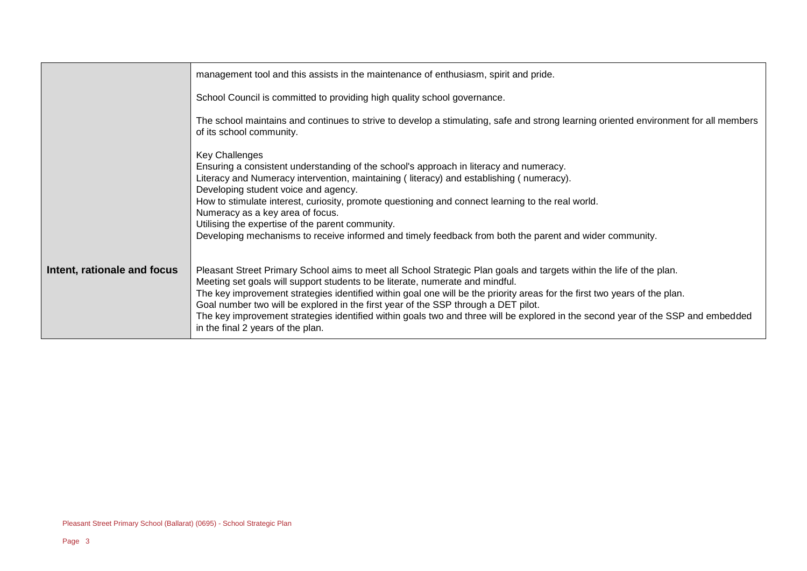|                             | management tool and this assists in the maintenance of enthusiasm, spirit and pride.                                                                                                                                                                                                                                                                                                                                                                                                                                                                                                              |
|-----------------------------|---------------------------------------------------------------------------------------------------------------------------------------------------------------------------------------------------------------------------------------------------------------------------------------------------------------------------------------------------------------------------------------------------------------------------------------------------------------------------------------------------------------------------------------------------------------------------------------------------|
|                             | School Council is committed to providing high quality school governance.                                                                                                                                                                                                                                                                                                                                                                                                                                                                                                                          |
|                             | The school maintains and continues to strive to develop a stimulating, safe and strong learning oriented environment for all members<br>of its school community.                                                                                                                                                                                                                                                                                                                                                                                                                                  |
|                             | Key Challenges<br>Ensuring a consistent understanding of the school's approach in literacy and numeracy.<br>Literacy and Numeracy intervention, maintaining (literacy) and establishing (numeracy).<br>Developing student voice and agency.<br>How to stimulate interest, curiosity, promote questioning and connect learning to the real world.<br>Numeracy as a key area of focus.<br>Utilising the expertise of the parent community.<br>Developing mechanisms to receive informed and timely feedback from both the parent and wider community.                                               |
| Intent, rationale and focus | Pleasant Street Primary School aims to meet all School Strategic Plan goals and targets within the life of the plan.<br>Meeting set goals will support students to be literate, numerate and mindful.<br>The key improvement strategies identified within goal one will be the priority areas for the first two years of the plan.<br>Goal number two will be explored in the first year of the SSP through a DET pilot.<br>The key improvement strategies identified within goals two and three will be explored in the second year of the SSP and embedded<br>in the final 2 years of the plan. |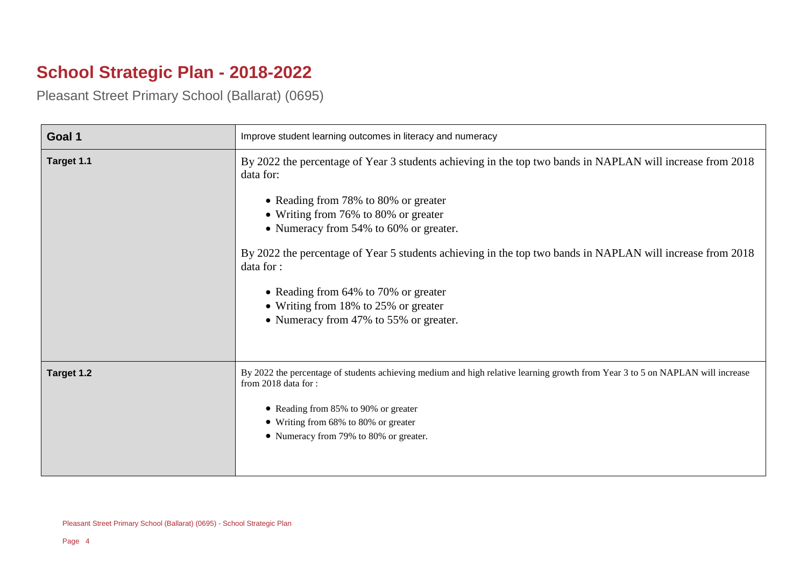## **School Strategic Plan - 2018-2022**

Pleasant Street Primary School (Ballarat) (0695)

| Goal 1     | Improve student learning outcomes in literacy and numeracy                                                                                                                                                                                                                                                                                                                                                                                                                                              |
|------------|---------------------------------------------------------------------------------------------------------------------------------------------------------------------------------------------------------------------------------------------------------------------------------------------------------------------------------------------------------------------------------------------------------------------------------------------------------------------------------------------------------|
| Target 1.1 | By 2022 the percentage of Year 3 students achieving in the top two bands in NAPLAN will increase from 2018<br>data for:<br>• Reading from 78% to 80% or greater<br>• Writing from 76% to 80% or greater<br>• Numeracy from 54% to 60% or greater.<br>By 2022 the percentage of Year 5 students achieving in the top two bands in NAPLAN will increase from 2018<br>data for :<br>• Reading from 64% to 70% or greater<br>• Writing from 18% to 25% or greater<br>• Numeracy from 47% to 55% or greater. |
| Target 1.2 | By 2022 the percentage of students achieving medium and high relative learning growth from Year 3 to 5 on NAPLAN will increase<br>from 2018 data for:<br>• Reading from 85% to 90% or greater<br>• Writing from 68% to 80% or greater<br>• Numeracy from 79% to 80% or greater.                                                                                                                                                                                                                         |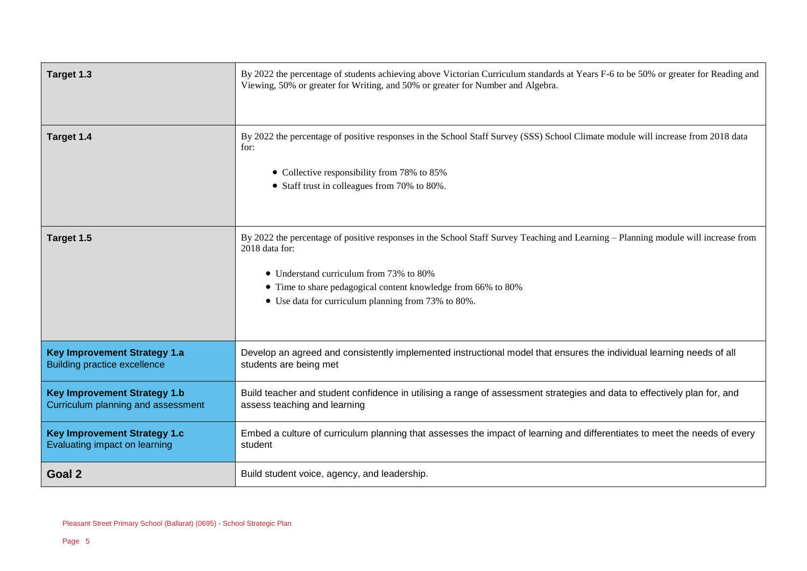| Target 1.3                                                                 | By 2022 the percentage of students achieving above Victorian Curriculum standards at Years F-6 to be 50% or greater for Reading and<br>Viewing, 50% or greater for Writing, and 50% or greater for Number and Algebra.                                                                                                  |
|----------------------------------------------------------------------------|-------------------------------------------------------------------------------------------------------------------------------------------------------------------------------------------------------------------------------------------------------------------------------------------------------------------------|
| Target 1.4                                                                 | By 2022 the percentage of positive responses in the School Staff Survey (SSS) School Climate module will increase from 2018 data<br>for:<br>• Collective responsibility from 78% to 85%<br>• Staff trust in colleagues from 70% to 80%.                                                                                 |
| Target 1.5                                                                 | By 2022 the percentage of positive responses in the School Staff Survey Teaching and Learning - Planning module will increase from<br>2018 data for:<br>• Understand curriculum from 73% to 80%<br>• Time to share pedagogical content knowledge from 66% to 80%<br>• Use data for curriculum planning from 73% to 80%. |
| <b>Key Improvement Strategy 1.a</b><br><b>Building practice excellence</b> | Develop an agreed and consistently implemented instructional model that ensures the individual learning needs of all<br>students are being met                                                                                                                                                                          |
| <b>Key Improvement Strategy 1.b</b><br>Curriculum planning and assessment  | Build teacher and student confidence in utilising a range of assessment strategies and data to effectively plan for, and<br>assess teaching and learning                                                                                                                                                                |
| <b>Key Improvement Strategy 1.c</b><br>Evaluating impact on learning       | Embed a culture of curriculum planning that assesses the impact of learning and differentiates to meet the needs of every<br>student                                                                                                                                                                                    |
| Goal 2                                                                     | Build student voice, agency, and leadership.                                                                                                                                                                                                                                                                            |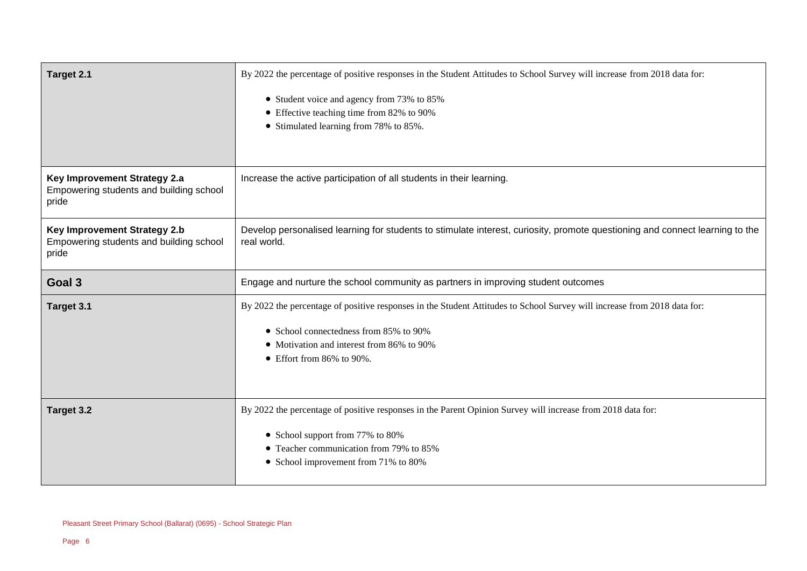| Target 2.1                                                                              | By 2022 the percentage of positive responses in the Student Attitudes to School Survey will increase from 2018 data for:                                                                                                                             |
|-----------------------------------------------------------------------------------------|------------------------------------------------------------------------------------------------------------------------------------------------------------------------------------------------------------------------------------------------------|
|                                                                                         | • Student voice and agency from 73% to 85%<br>• Effective teaching time from 82% to 90%<br>• Stimulated learning from 78% to 85%.                                                                                                                    |
| Key Improvement Strategy 2.a<br>Empowering students and building school<br>pride        | Increase the active participation of all students in their learning.                                                                                                                                                                                 |
| <b>Key Improvement Strategy 2.b</b><br>Empowering students and building school<br>pride | Develop personalised learning for students to stimulate interest, curiosity, promote questioning and connect learning to the<br>real world.                                                                                                          |
| Goal 3                                                                                  | Engage and nurture the school community as partners in improving student outcomes                                                                                                                                                                    |
| Target 3.1                                                                              | By 2022 the percentage of positive responses in the Student Attitudes to School Survey will increase from 2018 data for:<br>• School connectedness from 85% to 90%<br>• Motivation and interest from 86% to 90%<br>$\bullet$ Effort from 86% to 90%. |
| Target 3.2                                                                              | By 2022 the percentage of positive responses in the Parent Opinion Survey will increase from 2018 data for:                                                                                                                                          |